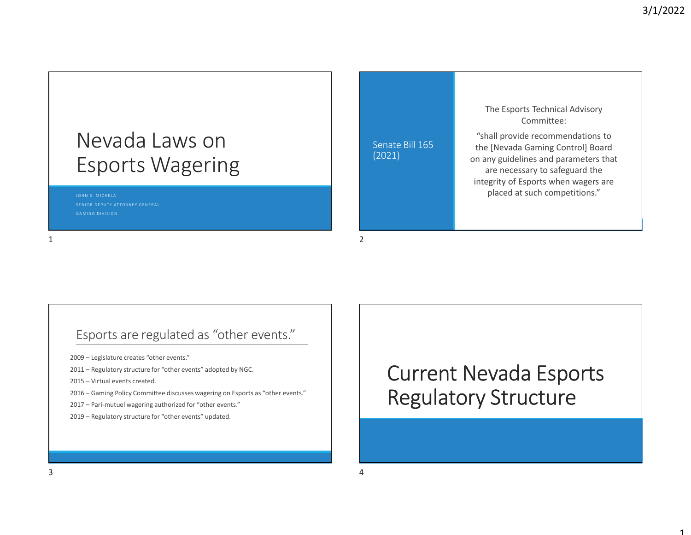1

## Nevada Laws on Esports Wagering J O H N S . M I C H E L A Nevada Laws on Senate Bill 165<br>Esports Wagering (2021)<br>
Esports were contracted to the contracted contracted to the contracted contracted contracted contracted contracted contracted contracted contracted contracted contrac INEVACIA LAWS ON<br>
ESPONTS Wagering<br>
2009 – Legislature creates<br>
2009 – Legislature creates "other events."<br>
2009 – Legislature creates "other events."<br>
2009 – Legislature creates "other events."<br>
2011 – Regulatory structur ESPOOTTS Wagering<br>
2011 – Regulatory structure contents<br>
2011 – Regulatory structure for "other events" adopted by NGC.<br>
2012 – Parifinitute (arefers other events" adopted by NGC.<br>
2012 – Regulatory structure for "other ev

### Senate Bill 165 (2021)

The Esports Technical Advisory Committee:

"shall provide recommendations to the [Nevada Gaming Control] Board on any guidelines and parameters that are necessary to safeguard the integrity of Esports when wagers are placed at such competitions." 1 2

## Esports are regulated as "other events." ESPOTTS Wagering<br>
2016<br>
2016<br>
2017 – Legislature creates "other events."<br>
2020 – Legislature creates "other events."<br>
2017 – Regulatory structure for "other events" adopted by NGC.<br>
2015 – Virtual events created.<br>
2017 – P 2013 - Strength<br>
2013 - Strength Browns (Professor Castron)<br>
2013 - Legislature creates "other events."<br>
2017 - Regulatory structure for "other events."<br>
2013 - Virtual events created.<br>
2015 - Gaming Policy Committee disc

### Esports are regulated as "other events."<br>
Esports are regulated as "other events."<br>
2003 – Legislature creates "other events" adopted by NGC.<br>
2003 – Legislature creates "other events" adopted by NGC.<br>
2003 – Regulatory st Esports are regulated as "other events."<br>
2019 – Legislature creates "other events."<br>
2019 – Legislature creates "other events."<br>
2019 – Legislature creates "other events." adopted by NGC.<br>
2019 – Garing Policy Committee d Current Nevada Esports Regulatory Structure Esports are regulated as "other events."<br>
2020 - Legislator grosses "other events"<br>
2021 - Republishy structure for "other events"<br>
2023 - Alegislatory structure for "other events" assigning on Esports.<br>
2023 - Per-metric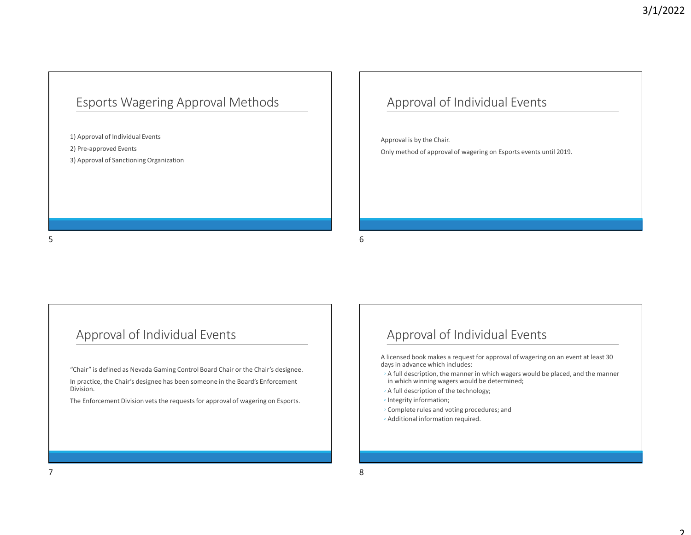### Esports Wagering Approval Methods

1) Approval of Individual Events 2) Pre-approved Events Esports Wagering Approval Methods<br>
3) Approval of Individual Events<br>
3) Approval of Sanctioning Organization<br>
3) Approval of Sanctioning Organization Esports Wagering Approval Methods<br>
14 neorest of statistics Events<br>
21 Maproval of Encilient Development and Statistics Constant<br>
21 Maproval of Statistics Constant<br>
21 Maproval of Statistics Constant<br>
31 Approval of Stati

## Approval of Individual Events 3/1/2022<br>Approval of Individual Events<br>Approval is by the Chair.<br>Approval is by the Chair.<br>Only method of approval of wagering on Esports events until 2019. 3/1/2022<br>
Approval of Individual Events<br>
Approval is by the Chair.<br>
Only method of approval of wagering on Esports events until 2019.

### Approval of Individual Events

Chair" is defined as Nevada Gaming Control Board Chair or the Chair's designee.<br>
Chair "is defined as Nevada Gaming Control Board Chair or the Chair's designee.<br>
Chair or the Chair's designee.<br>
Chair or the Chair's designe In practice, the Chair's designee has been someone in the Board's Enforcement Division.  $\begin{tabular}{|c|c|} \hline \multicolumn{3}{|c|}{\textbf{\textit{3}}}\\ \hline \multicolumn{3}{|c|}{\textbf{\textit{4}}}\\ \hline \multicolumn{3}{|c|}{\textbf{\textit{5}}}\\ \hline \multicolumn{3}{|c|}{\textbf{\textit{5}}}\\ \hline \multicolumn{3}{|c|}{\textbf{\textit{5}}}\\ \hline \multicolumn{3}{|c|}{\textbf{\textit{6}}}\\ \hline \multicolumn{3}{|c|}{\textbf{\textit{6}}}\\ \hline \multicolumn{3}{|c|}{\textbf{\textit{6}}}\\ \hline \multicolumn{3}{|c|}{\textbf$ Approval of Individual Events<br>
The Figure of State of the Control Read of Control Read of Control Read of the Control Read of the Control Read of the Control Read of the Control Read of the Control Read of the Control Read

### Approval of Individual Events

A licensed book makes a request for approval of wagering on an event at least 30 days in advance which includes:

- **Approval of Individual Events**<br>
Microsed book makes a request for approval of wagering on an event at least 30<br>
Nicensed book makes a request for approval of wagering on an event at least 30<br>  $\alpha$  full description, the ma Approval of Individual Events<br>in lierared book makes a request for approval of wagering on an event at least 30<br>algos in advance which includes:<br>└ A full description, the manner in which wagers would be determined;<br>└ Integ Approval of Individual Events<br>
Nicensed book makes a request for approval of wagering on an event at least 30<br>
vays in advance which includes:<br>
A full description, the manner in which wagers would be placed, and the manner
- 
- 
- 
-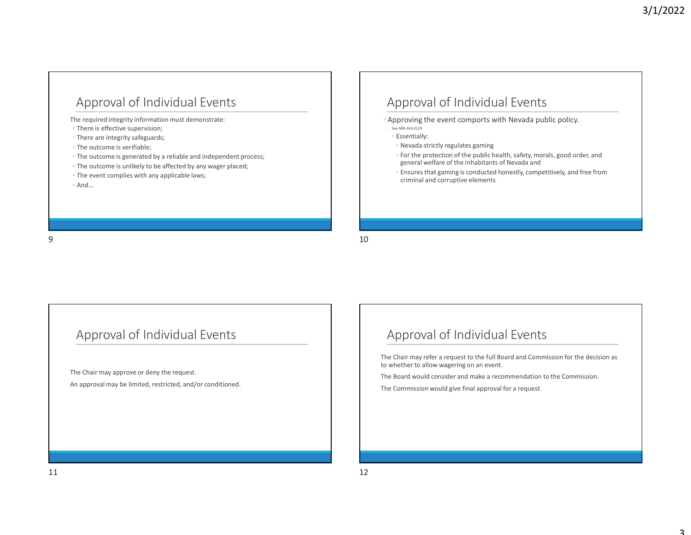# Approval of Individual Events Approval of Individual Events<br>
Aeproval of Individual Events<br>
There are integrive information must demonstrate:<br>
There are integrive supervision;<br>
The outcome is verifiable;<br>
The outcome is generalized by a related by any

The required integrity information must demonstrate:

- There is effective supervision;
- 
- 
- 
- 
- 

### Approval of Individual Events

- Approving the event comports with Nevada public policy.
- 
- 
- 
- For the protection of the public health, safety, morals, good order, and general welfare of the inhabitants of Nevada and
- **Sydney See NRS 463.0222**<br>
Approving the event comports with Nevada public policy.<br>
Seems 48.022.<br>
See Newada strictly regulates gaming<br>

For the protection of the public health, safety, morals, good order, and<br>
general we **3/1/2022**<br>
pproval of Individual Events<br>
proving the event comports with Nevada public policy.<br>
Ensures dans a<br>
Ensures that gaming<br>
Fror the protection of the public health, safety, morals, good order, and<br>
Fersures that 3/1/2022<br>proval of Individual Events.<br>rowing the event comports with Nevada public policy.<br>*mestaors.*<br>Nevada strictly regulates gaming<br>For the protection of the public health, safety, morals, good order, and<br>general welfa Approval of Individual Events<br>
The required imaging information must democrates:<br>
The content of the proposition must democrates:<br>
The content of the proposition of the proposition of the proposition of the proposition of

# Approval of Individual Events - The outcome is unitary to be affected by any wager placed;<br>
- The overt complets with any applicable laws;<br>
- And...<br>
An approval of Individual Events<br>
The Chair may approve of deny the request.<br>
The Chair may approve of

The Chair may approve or deny the request.

### Approval of Individual Events

The Chair may refer a request to the full Board and Commission for the decision as to whether to allow wagering on an event. The Board welfare of the Inhabitants of Newster, in loan, good order, and<br>general welfare of the Inhabitants of Newster, in loan, good order, and<br>"Ensures that gaming is conducted lonestly, competitively, and free from<br>cri Approval of Individual Events<br>
The Chair may approve or deny the request.<br>
The Chair may approve or deny the request.<br>
An approval may be limited, residicing and/or conditioned.<br>
The Schiff wavelenge on all the commission

The Commission would give final approval for a request.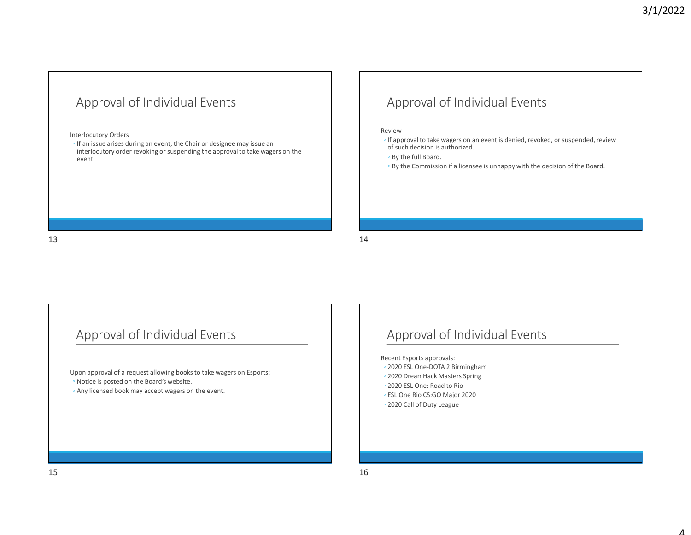### Approval of Individual Events

### Interlocutory Orders

**Approval of Individual Events**<br>
Approval<br>
Interlocutory orders<br>
If an issue arises during an event, the Chair or designee may issue an<br>
interlocutory order revoking or suspending the approval to take wagers on the<br>
event, interlocutory order revoking or suspending the approval to take wagers on the event. Approval of Individual Events<br>
Internationary color revoluting an event, the Chuir or designer may issue an<br>
If an issue powerful the Chuir or designer may issue an<br>
International the local color of the chuir or designer m

### Approval of Individual Events

### Review **Review Review Review Review Review**

- **Experience Approval of Individual Events**<br>
Heview<br>
review<br>
of such decision is authorized.<br>
Inapproval to take wagers on an event is denied, revoked, or suspended, review<br>
of such decision is authorized.<br>
If a licensee is of such decision is authorized. **3/1/2022**<br>
Approval of Individual Events<br>
Wiew<br>
If approval to take wagers on an event is denied, revoked, or suspended, review<br>
of such decision is authorized.<br>
- By the foll Board.<br>
- By the Commission if a licensee is
- By the full Board.
- 

### Approval of Individual Events

Upon approval of a request allowing books to take wagers on Esports: <p>• By the Commission if</p>\n<p>Appendi of individual Events</p>\n<p>Appendi of the Board Equations</p>\n<p>Appendi of a request allowing books to take wages on Esports. </p>\n<p>②202</p>\n<p>①202</p>\n<p>①3</p>\n<p>①4</p>\n<p>②5</p>\n<p>②6</p>\n<p>②6</p>\n<p>②7</p>\n<p>②7</p>\n<p>②8</p>\n<p>②8</p>\n<p>②9</p>\n<p>②9</p>\n<p>②1</p>\n<p>②202</p>\n<p>③1</p>\n<p>④202</p>\n<p>① Approval of Individual Events<br>
Uperapread of a request allowing books to be wagen on Esperts.<br>
Necest separate approval of Individual Events<br>
Necest separate approval control in the books of the books of the books of the b

### Approval of Individual Events or such decision is authorized.<br>
• By the full Board.<br>
• By the Commission if a licensee is unhappy with the decision of the Board.<br>
\* Experiment Exports approval:<br>
\* 2020 ESL One-DOTA 2 Birmingham<br>
• 2020 ESL One- PoOTA 2 ∘ By the full Board.<br>• By the Commission if a licensee is unhappy with the decision of the Board.<br>• 2020 ESL One-DOTA 2 Birmingham<br>• 2020 DreamHack Masters Springham<br>• 2020 DreamHack Masters Springham<br>• 2020 DreamHack ∘ By the Commission it a licensee is unhappy with the decision of the Board.<br>
<br>
Approval of Individual Events<br>
tecent Esports approvals:<br>
2020 ESL One-DOTA 2 Birmingham<br>
2020 DESL One: Food to Rio Risters Spring<br>
2020 E Approval of Individual Events<br>
ecent Esports approvals:<br>
2020 ESL One-DOTA 2 Birmingham<br>
2020 Decamhack Masters Spring<br>
2020 Decamhack Masters Spring<br>
2020 Call of Duty League<br>
2020 Call of Duty League<br>
2020 Call of Duty L

Recent Esports approvals:

- 
- 
- 
- ESL One Rio CS:GO Major 2020
-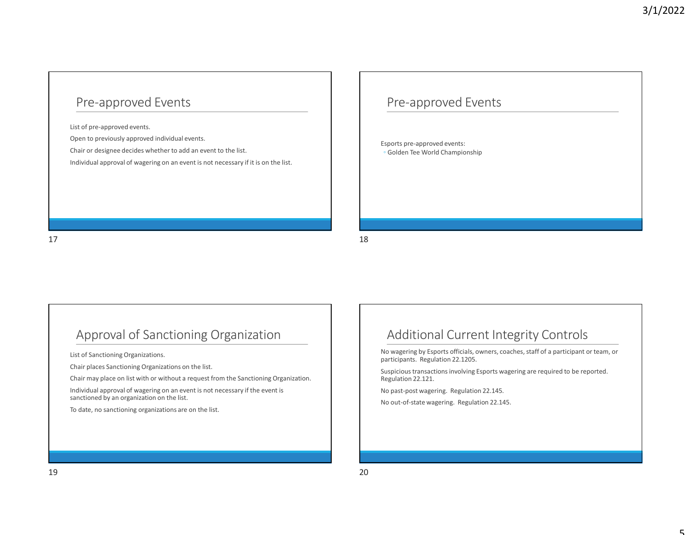### Pre-approved Events

List of pre-approved events.

Pre-approved Events<br>
Ust of pre-approved events.<br>
Open to previously approved individual events.<br>
Open to previously approved individual events.<br>
Chair or designee decides whether to add an event is not necessary if it is Pre-approved Events<br>
Chair or designee decides whether to add an event to the list.<br>
Chair or designee decides whether to add an event to the list.<br>
Chair or designee decides whether to add an event to the list.<br>
Colden Te Individual approval of wagering on an event is not necessary if it is on the list. Pre-approved Events<br>
Ust of one-approved Events<br>
Open to personally approved individual means.<br>
Clasif or designed distribution levels to add an event to the list.<br>
Clasif or designed of segrencing on an event is not neces

### Pre-approved Events

Esports pre-approved events: ◦ Golden Tee World Championship

List of Sanctioning Organizations.

Chair may place on list with or without a request from the Sanctioning Organization.

Chair or designee decides whether to add an event to the list.<br>
Colden Tee World Championship<br>
Individual approval of vagering on an event is not necessary if it is on the list.<br>
Chair places Sanctioning Organizations on t Individual approval of wagering on an event is not necessary if the event is sanctioned by an organization on the list. To date, no sanctioning organizations are on the list.<br>This discussion of Sanctioning Organization are list.<br>This place is sanctioning organizations on the list.<br>This place is an of the list of the sanction of the sanction

### Approval of Sanctioning Organization  $\vert$  | Additional Current Integrity Controls

ports pre-approved events:<br>
Golden Tee World Championship<br>
Additional Current Integrity Controls<br>
wagering by Esports officials, owners, coaches, staff of a participant or team, or<br>
picious transactions involving Esports w No wagering by Esports officials, owners, coaches, staff of a participant or team, or participants. Regulation 22.1205. Additional Current Integrity Controls<br>No wagering by Esports officials, owners, coaches, staff of a participant or team, or<br>participans. Regulation 22.1205.<br>Suspicious transactions involving Esports wagering are required t Approval of Sanctioning Organization<br>
iura fasceroire dependents.<br>
Cultural Current Integrity Controls<br>
Cultural Current Integrity Controls<br>
Cultural Current Integrity Controls<br>
Cultural Current Integrity Controls<br>
Cultura

Suspicious transactions involving Esports wagering are required to be reported. Regulation 22.121.

No past-post wagering. Regulation 22.145.